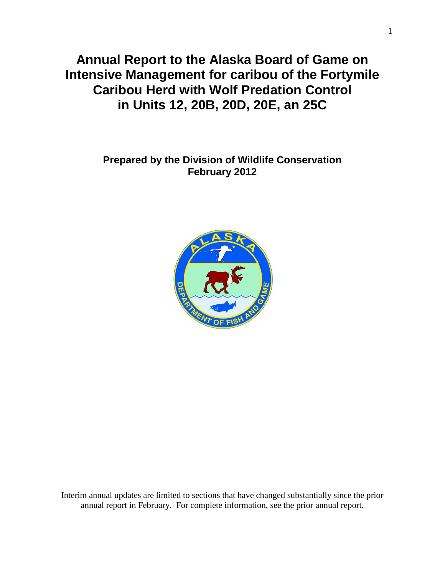**Annual Report to the Alaska Board of Game on Intensive Management for caribou of the Fortymile Caribou Herd with Wolf Predation Control in Units 12, 20B, 20D, 20E, an 25C**

> **Prepared by the Division of Wildlife Conservation February 2012**



Interim annual updates are limited to sections that have changed substantially since the prior annual report in February. For complete information, see the prior annual report.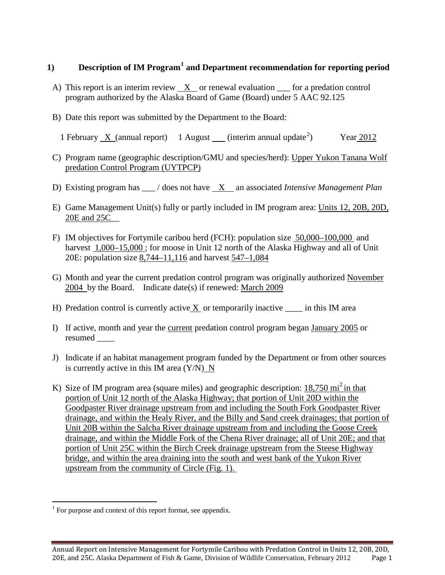### **1) Description of IM Program[1](#page-1-0) and Department recommendation for reporting period**

- A) This report is an interim review  $X$  or renewal evaluation  $\equiv$  for a predation control program authorized by the Alaska Board of Game (Board) under 5 AAC 92.125
- B) Date this report was submitted by the Department to the Board:
	- 1 February X (annual report) 1 August (interim annual update<sup>[2](#page-1-1)</sup>) ) Year 2012
- C) Program name (geographic description/GMU and species/herd): Upper Yukon Tanana Wolf predation Control Program (UYTPCP)
- D) Existing program has \_\_\_ / does not have X an associated *Intensive Management Plan*
- E) Game Management Unit(s) fully or partly included in IM program area: Units 12, 20B, 20D, 20E and 25C\_\_
- F) IM objectives for Fortymile caribou herd (FCH): population size 50,000–100,000 and harvest  $1,000-15,000$ ; for moose in Unit 12 north of the Alaska Highway and all of Unit 20E: population size 8,744–11,116 and harvest 547–1,084
- G) Month and year the current predation control program was originally authorized November 2004 by the Board. Indicate date(s) if renewed: March 2009
- H) Predation control is currently active  $X$  or temporarily inactive  $\quad$  in this IM area
- I) If active, month and year the current predation control program began January 2005 or resumed \_\_\_\_
- J) Indicate if an habitat management program funded by the Department or from other sources is currently active in this IM area  $(Y/N)$  N
- K) Size of IM program area (square miles) and geographic description:  $18,750 \text{ mi}^2$  in that portion of Unit 12 north of the Alaska Highway; that portion of Unit 20D within the Goodpaster River drainage upstream from and including the South Fork Goodpaster River drainage, and within the Healy River, and the Billy and Sand creek drainages; that portion of Unit 20B within the Salcha River drainage upstream from and including the Goose Creek drainage, and within the Middle Fork of the Chena River drainage; all of Unit 20E; and that portion of Unit 25C within the Birch Creek drainage upstream from the Steese Highway bridge, and within the area draining into the south and west bank of the Yukon River upstream from the community of Circle (Fig. 1).

<span id="page-1-1"></span><span id="page-1-0"></span> $1$  For purpose and context of this report format, see appendix.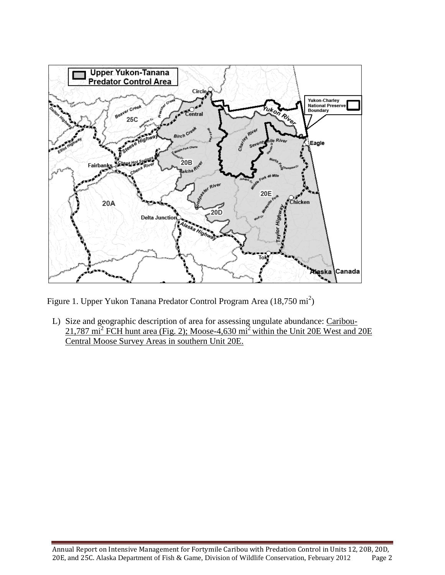

Figure 1. Upper Yukon Tanana Predator Control Program Area (18,750 mi<sup>2</sup>)

L) Size and geographic description of area for assessing ungulate abundance: Caribou-21,787 mi<sup>2</sup> FCH hunt area (Fig. 2); Moose-4,630 mi2 within the Unit 20E West and 20E Central Moose Survey Areas in southern Unit 20E.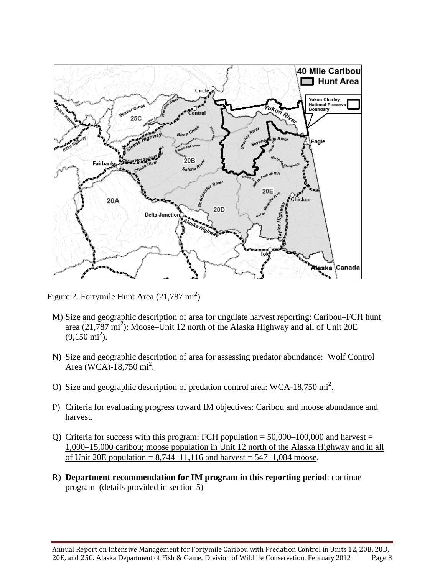

Figure 2. Fortymile Hunt Area (21,787 mi<sup>2</sup>)

- M) Size and geographic description of area for ungulate harvest reporting: Caribou–FCH hunt area  $(21,787 \text{ mi}^2)$ ; Moose–Unit 12 north of the Alaska Highway and all of Unit 20E  $(9,150 \text{ mi}^2)$ .
- N) Size and geographic description of area for assessing predator abundance: Wolf Control Area (WCA)-18,750 mi<sup>2</sup>.
- O) Size and geographic description of predation control area:  $WCA-18,750 \text{ mi}^2$ .
- P) Criteria for evaluating progress toward IM objectives: Caribou and moose abundance and harvest.
- Q) Criteria for success with this program: FCH population =  $50,000-100,000$  and harvest = 1,000–15,000 caribou; moose population in Unit 12 north of the Alaska Highway and in all of Unit 20E population =  $8,744-11,116$  and harvest =  $547-1,084$  moose.
- R) **Department recommendation for IM program in this reporting period**: continue program (details provided in section 5)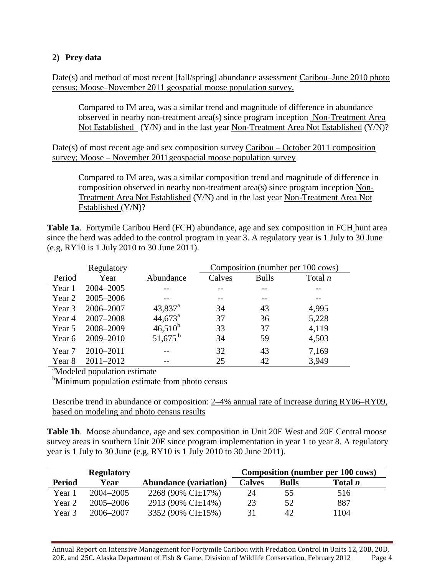### **2) Prey data**

Date(s) and method of most recent [fall/spring] abundance assessment Caribou–June 2010 photo census; Moose–November 2011 geospatial moose population survey.

Compared to IM area, was a similar trend and magnitude of difference in abundance observed in nearby non-treatment area(s) since program inception Non-Treatment Area Not Established (Y/N) and in the last year Non-Treatment Area Not Established (Y/N)?

Date(s) of most recent age and sex composition survey Caribou – October 2011 composition survey; Moose – November 2011geospacial moose population survey

Compared to IM area, was a similar composition trend and magnitude of difference in composition observed in nearby non-treatment area(s) since program inception Non-Treatment Area Not Established (Y/N) and in the last year Non-Treatment Area Not Established (Y/N)?

**Table 1a**. Fortymile Caribou Herd (FCH) abundance, age and sex composition in FCH hunt area since the herd was added to the control program in year 3. A regulatory year is 1 July to 30 June (e.g, RY10 is 1 July 2010 to 30 June 2011).

|                                          | Regulatory |                       |        |              | Composition (number per 100 cows) |  |
|------------------------------------------|------------|-----------------------|--------|--------------|-----------------------------------|--|
| Period                                   | Year       | Abundance             | Calves | <b>Bulls</b> | Total $n$                         |  |
| Year 1                                   | 2004-2005  |                       |        |              |                                   |  |
| Year 2                                   | 2005-2006  |                       |        |              |                                   |  |
| Year 3                                   | 2006–2007  | $43,837$ <sup>a</sup> | 34     | 43           | 4,995                             |  |
| Year 4                                   | 2007-2008  | $44,673^{\circ}$      | 37     | 36           | 5,228                             |  |
| Year 5                                   | 2008-2009  | $46,510^{b}$          | 33     | 37           | 4,119                             |  |
| Year 6                                   | 2009-2010  | $51,675^{\mathrm{b}}$ | 34     | 59           | 4,503                             |  |
| Year 7                                   | 2010-2011  |                       | 32     | 43           | 7,169                             |  |
| Year 8                                   | 2011-2012  |                       | 25     | 42           | 3,949                             |  |
| <sup>a</sup> Modeled population estimate |            |                       |        |              |                                   |  |

<sup>b</sup>Minimum population estimate from photo census

Describe trend in abundance or composition: 2–4% annual rate of increase during RY06–RY09, based on modeling and photo census results

**Table 1b**. Moose abundance, age and sex composition in Unit 20E West and 20E Central moose survey areas in southern Unit 20E since program implementation in year 1 to year 8. A regulatory year is 1 July to 30 June (e.g, RY10 is 1 July 2010 to 30 June 2011).

|               | <b>Regulatory</b> |                              |               |              | <b>Composition (number per 100 cows)</b> |
|---------------|-------------------|------------------------------|---------------|--------------|------------------------------------------|
| <b>Period</b> | Year              | <b>Abundance (variation)</b> | <b>Calves</b> | <b>Bulls</b> | Total <i>n</i>                           |
| Year 1        | 2004–2005         | 2268 (90% CI $\pm$ 17%)      | 24            | 55           | 516                                      |
| Year 2        | $2005 - 2006$     | 2913 (90% CI $\pm$ 14%)      | 23            | 52           | 887                                      |
| Year 3        | 2006–2007         | 3352 (90% CI±15%)            | 31            | 42           | 1104                                     |

Annual Report on Intensive Management for Fortymile Caribou with Predation Control in Units 12, 20B, 20D, 20E, and 25C. Alaska Department of Fish & Game, Division of Wildlife Conservation, February 2012 Page 4 20E, and 25C. Alaska Department of Fish & Game, Division of Wildlife Conservation, February 2012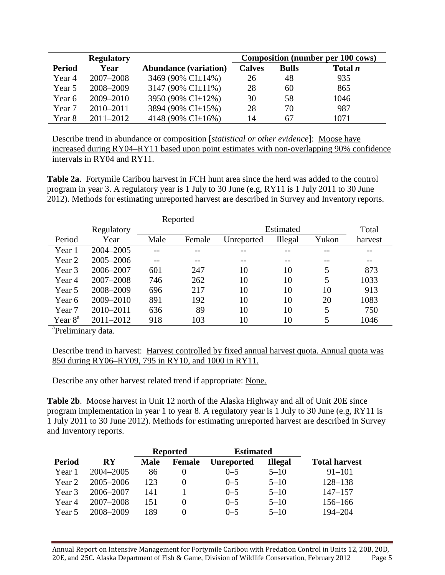|               | <b>Regulatory</b> |                              |               |              | <b>Composition (number per 100 cows)</b> |
|---------------|-------------------|------------------------------|---------------|--------------|------------------------------------------|
| <b>Period</b> | Year              | <b>Abundance (variation)</b> | <b>Calves</b> | <b>Bulls</b> | Total <i>n</i>                           |
| Year 4        | 2007-2008         | 3469 (90% CI±14%)            | 26            | 48           | 935                                      |
| Year 5        | 2008-2009         | 3147 (90% CI $\pm$ 11%)      | 28            | 60           | 865                                      |
| Year 6        | 2009-2010         | 3950 (90% CI±12%)            | 30            | 58           | 1046                                     |
| Year 7        | $2010 - 2011$     | 3894 (90% CI±15%)            | 28            | 70           | 987                                      |
| Year 8        | $2011 - 2012$     | 4148 (90% CI $\pm$ 16%)      | 14            | 67           | 1071                                     |

Describe trend in abundance or composition [*statistical or other evidence*]: Moose have increased during RY04–RY11 based upon point estimates with non-overlapping 90% confidence intervals in RY04 and RY11.

**Table 2a**. Fortymile Caribou harvest in FCH hunt area since the herd was added to the control program in year 3. A regulatory year is 1 July to 30 June (e.g, RY11 is 1 July 2011 to 30 June 2012). Methods for estimating unreported harvest are described in Survey and Inventory reports.

|                  |            |      | Reported |            |           |       |         |
|------------------|------------|------|----------|------------|-----------|-------|---------|
|                  | Regulatory |      |          |            | Estimated |       | Total   |
| Period           | Year       | Male | Female   | Unreported | Illegal   | Yukon | harvest |
| Year 1           | 2004-2005  |      |          |            |           |       |         |
| Year 2           | 2005-2006  |      |          | --         |           |       |         |
| Year 3           | 2006-2007  | 601  | 247      | 10         | 10        | 5     | 873     |
| Year 4           | 2007-2008  | 746  | 262      | 10         | 10        | 5     | 1033    |
| Year 5           | 2008-2009  | 696  | 217      | 10         | 10        | 10    | 913     |
| Year 6           | 2009-2010  | 891  | 192      | 10         | 10        | 20    | 1083    |
| Year 7           | 2010-2011  | 636  | 89       | 10         | 10        | 5     | 750     |
| Year $8^{\circ}$ | 2011-2012  | 918  | 103      | 10         | 10        | 5     | 1046    |

<sup>a</sup>Preliminary data.

Describe trend in harvest: Harvest controlled by fixed annual harvest quota. Annual quota was 850 during RY06–RY09, 795 in RY10, and 1000 in RY11.

Describe any other harvest related trend if appropriate: None.

Table 2b. Moose harvest in Unit 12 north of the Alaska Highway and all of Unit 20E since program implementation in year 1 to year 8. A regulatory year is 1 July to 30 June (e.g, RY11 is 1 July 2011 to 30 June 2012). Methods for estimating unreported harvest are described in Survey and Inventory reports.

|               |                        | <b>Reported</b> |                   | <b>Estimated</b>  |                |                      |
|---------------|------------------------|-----------------|-------------------|-------------------|----------------|----------------------|
| <b>Period</b> | $\mathbf{R}\mathbf{Y}$ | <b>Male</b>     | <b>Female</b>     | <b>Unreported</b> | <b>Illegal</b> | <b>Total harvest</b> |
| Year 1        | 2004–2005              | 86              |                   | $0 - 5$           | $5 - 10$       | $91 - 101$           |
| Year 2        | $2005 - 2006$          | 123             |                   | $0 - 5$           | $5 - 10$       | $128 - 138$          |
| Year 3        | 2006-2007              | 141             |                   | $0 - 5$           | $5 - 10$       | $147 - 157$          |
| Year 4        | 2007-2008              | 151             | $\mathbf{\Omega}$ | $0 - 5$           | $5 - 10$       | $156 - 166$          |
| Year 5        | 2008-2009              | 189             | $\mathbf{\Omega}$ | $0 - 5$           | $5 - 10$       | 194-204              |

Annual Report on Intensive Management for Fortymile Caribou with Predation Control in Units 12, 20B, 20D, 20E, and 25C. Alaska Department of Fish & Game, Division of Wildlife Conservation, February 2012 Page 5 20E, and 25C. Alaska Department of Fish & Game, Division of Wildlife Conservation, February 2012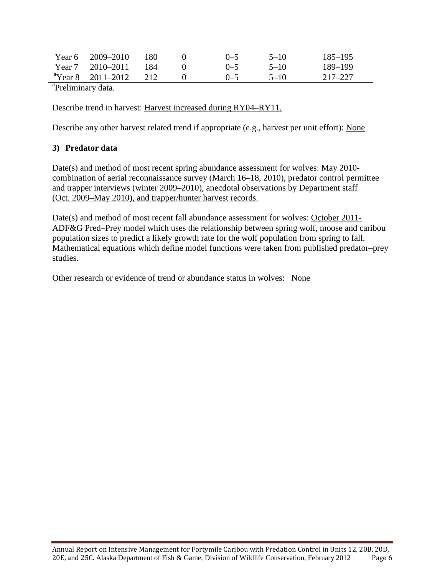|                               | Year $6 \quad 2009 - 2010$    | 180 |  | $(1 - 5)$ | $5 - 10$ | $185 - 195$ |
|-------------------------------|-------------------------------|-----|--|-----------|----------|-------------|
|                               | Year 7 $2010-2011$            | 184 |  | $(1 - 5)$ | $5 - 10$ | 189–199     |
|                               | <sup>a</sup> Year 8 2011–2012 | 212 |  | $(1 - 5)$ | $5 - 10$ | 217–227     |
| <sup>a</sup> Droliminary data |                               |     |  |           |          |             |

<sup>a</sup>Preliminary data.

Describe trend in harvest: Harvest increased during RY04–RY11.

Describe any other harvest related trend if appropriate (e.g., harvest per unit effort): None

# **3) Predator data**

Date(s) and method of most recent spring abundance assessment for wolves: May 2010 combination of aerial reconnaissance survey (March 16–18, 2010), predator control permittee and trapper interviews (winter 2009–2010), anecdotal observations by Department staff (Oct. 2009–May 2010), and trapper/hunter harvest records.

Date(s) and method of most recent fall abundance assessment for wolves: October 2011-ADF&G Pred–Prey model which uses the relationship between spring wolf, moose and caribou population sizes to predict a likely growth rate for the wolf population from spring to fall. Mathematical equations which define model functions were taken from published predator–prey studies.

Other research or evidence of trend or abundance status in wolves: None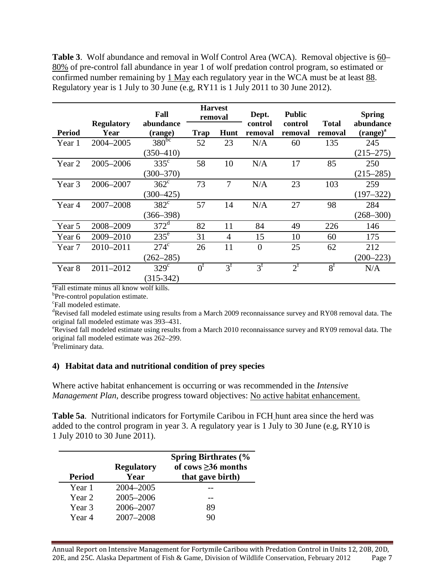**Table 3**. Wolf abundance and removal in Wolf Control Area (WCA). Removal objective is 60– 80% of pre-control fall abundance in year 1 of wolf predation control program, so estimated or confirmed number remaining by 1 May each regulatory year in the WCA must be at least 88. Regulatory year is 1 July to 30 June (e.g, RY11 is 1 July 2011 to 30 June 2012).

|               |                           | Fall                 | <b>Harvest</b><br>removal |             | Dept.              | <b>Public</b>      |                         | <b>Spring</b>              |
|---------------|---------------------------|----------------------|---------------------------|-------------|--------------------|--------------------|-------------------------|----------------------------|
| <b>Period</b> | <b>Regulatory</b><br>Year | abundance<br>(range) | Trap                      | Hunt        | control<br>removal | control<br>removal | <b>Total</b><br>removal | abundance<br>$(range)^{a}$ |
| Year 1        | 2004-2005                 | $380^{bc}$           | 52                        | 23          | N/A                | 60                 | 135                     | 245                        |
|               |                           | $(350 - 410)$        |                           |             |                    |                    |                         | $(215 - 275)$              |
| Year 2        | 2005-2006                 | $335^{\circ}$        | 58                        | 10          | N/A                | 17                 | 85                      | 250                        |
|               |                           | $(300 - 370)$        |                           |             |                    |                    |                         | $(215 - 285)$              |
| Year 3        | 2006-2007                 | $362^{\circ}$        | 73                        | 7           | N/A                | 23                 | 103                     | 259                        |
|               |                           | $(300 - 425)$        |                           |             |                    |                    |                         | $(197 - 322)$              |
| Year 4        | 2007-2008                 | $382^{\circ}$        | 57                        | 14          | N/A                | 27                 | 98                      | 284                        |
|               |                           | $(366 - 398)$        |                           |             |                    |                    |                         | $(268 - 300)$              |
| Year 5        | 2008-2009                 | $372^d$              | 82                        | 11          | 84                 | 49                 | 226                     | 146                        |
| Year 6        | 2009-2010                 | $235^{\circ}$        | 31                        | 4           | 15                 | 10                 | 60                      | 175                        |
| Year 7        | 2010-2011                 | $274^{\circ}$        | 26                        | 11          | $\overline{0}$     | 25                 | 62                      | 212                        |
|               |                           | $(262 - 285)$        |                           |             |                    |                    |                         | $(200 - 223)$              |
| Year 8        | 2011-2012                 | $329^\circ$          | $0^{\rm f}$               | $3^{\rm f}$ | $3^f$              | $2^{\rm f}$        | $8^{\rm f}$             | N/A                        |
|               |                           | $(315-342)$          |                           |             |                    |                    |                         |                            |

 ${}^{a}$ Fall estimate minus all know wolf kills.

 ${}^{b}$ Pre-control population estimate.

Fall modeled estimate.

<sup>d</sup>Revised fall modeled estimate using results from a March 2009 reconnaissance survey and RY08 removal data. The original fall modeled estimate was 393-431.

Revised fall modeled estimate using results from a March 2010 reconnaissance survey and RY09 removal data. The original fall modeled estimate was 262-299.

Preliminary data.

### **4) Habitat data and nutritional condition of prey species**

Where active habitat enhancement is occurring or was recommended in the *Intensive Management Plan*, describe progress toward objectives: No active habitat enhancement.

**Table 5a**. Nutritional indicators for Fortymile Caribou in FCH hunt area since the herd was added to the control program in year 3. A regulatory year is 1 July to 30 June (e.g, RY10 is 1 July 2010 to 30 June 2011).

| <b>Period</b> | <b>Regulatory</b><br>Year | <b>Spring Birthrates (%</b><br>of cows $\geq$ 36 months<br>that gave birth) |
|---------------|---------------------------|-----------------------------------------------------------------------------|
| Year 1        | 2004-2005                 |                                                                             |
| Year 2        | 2005-2006                 |                                                                             |
| Year 3        | 2006-2007                 | 89                                                                          |
| Year 4        | 2007-2008                 | 90                                                                          |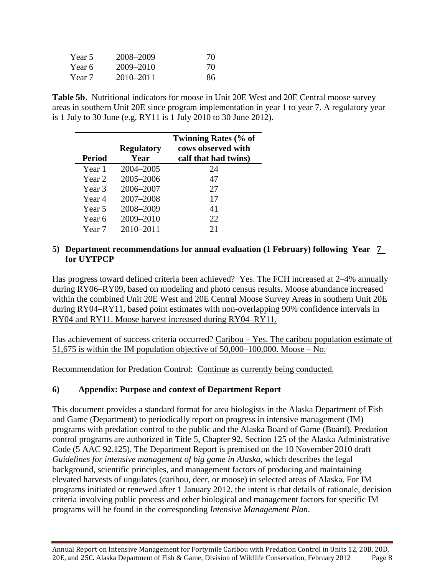| Year 5 | 2008–2009     | 70 |
|--------|---------------|----|
| Year 6 | 2009–2010     | 70 |
| Year 7 | $2010 - 2011$ | 86 |

**Table 5b**. Nutritional indicators for moose in Unit 20E West and 20E Central moose survey areas in southern Unit 20E since program implementation in year 1 to year 7. A regulatory year is 1 July to 30 June (e.g, RY11 is 1 July 2010 to 30 June 2012).

|        |                   | <b>Twinning Rates (% of</b> |
|--------|-------------------|-----------------------------|
|        | <b>Regulatory</b> | cows observed with          |
| Period | Year              | calf that had twins)        |
| Year 1 | 2004-2005         | 24                          |
| Year 2 | 2005-2006         | 47                          |
| Year 3 | 2006-2007         | 27                          |
| Year 4 | 2007-2008         | 17                          |
| Year 5 | 2008-2009         | 41                          |
| Year 6 | 2009-2010         | 22.                         |
| Year 7 | 2010-2011         | 21                          |

#### **5) Department recommendations for annual evaluation (1 February) following Year 7 for UYTPCP**

Has progress toward defined criteria been achieved? Yes. The FCH increased at 2–4% annually during RY06–RY09, based on modeling and photo census results. Moose abundance increased within the combined Unit 20E West and 20E Central Moose Survey Areas in southern Unit 20E during RY04–RY11, based point estimates with non-overlapping 90% confidence intervals in RY04 and RY11. Moose harvest increased during RY04–RY11.

Has achievement of success criteria occurred? Caribou – Yes. The caribou population estimate of 51,675 is within the IM population objective of 50,000–100,000. Moose – No.

Recommendation for Predation Control: Continue as currently being conducted.

# **6) Appendix: Purpose and context of Department Report**

This document provides a standard format for area biologists in the Alaska Department of Fish and Game (Department) to periodically report on progress in intensive management (IM) programs with predation control to the public and the Alaska Board of Game (Board). Predation control programs are authorized in Title 5, Chapter 92, Section 125 of the Alaska Administrative Code (5 AAC 92.125). The Department Report is premised on the 10 November 2010 draft *Guidelines for intensive management of big game in Alaska*, which describes the legal background, scientific principles, and management factors of producing and maintaining elevated harvests of ungulates (caribou, deer, or moose) in selected areas of Alaska. For IM programs initiated or renewed after 1 January 2012, the intent is that details of rationale, decision criteria involving public process and other biological and management factors for specific IM programs will be found in the corresponding *Intensive Management Plan*.